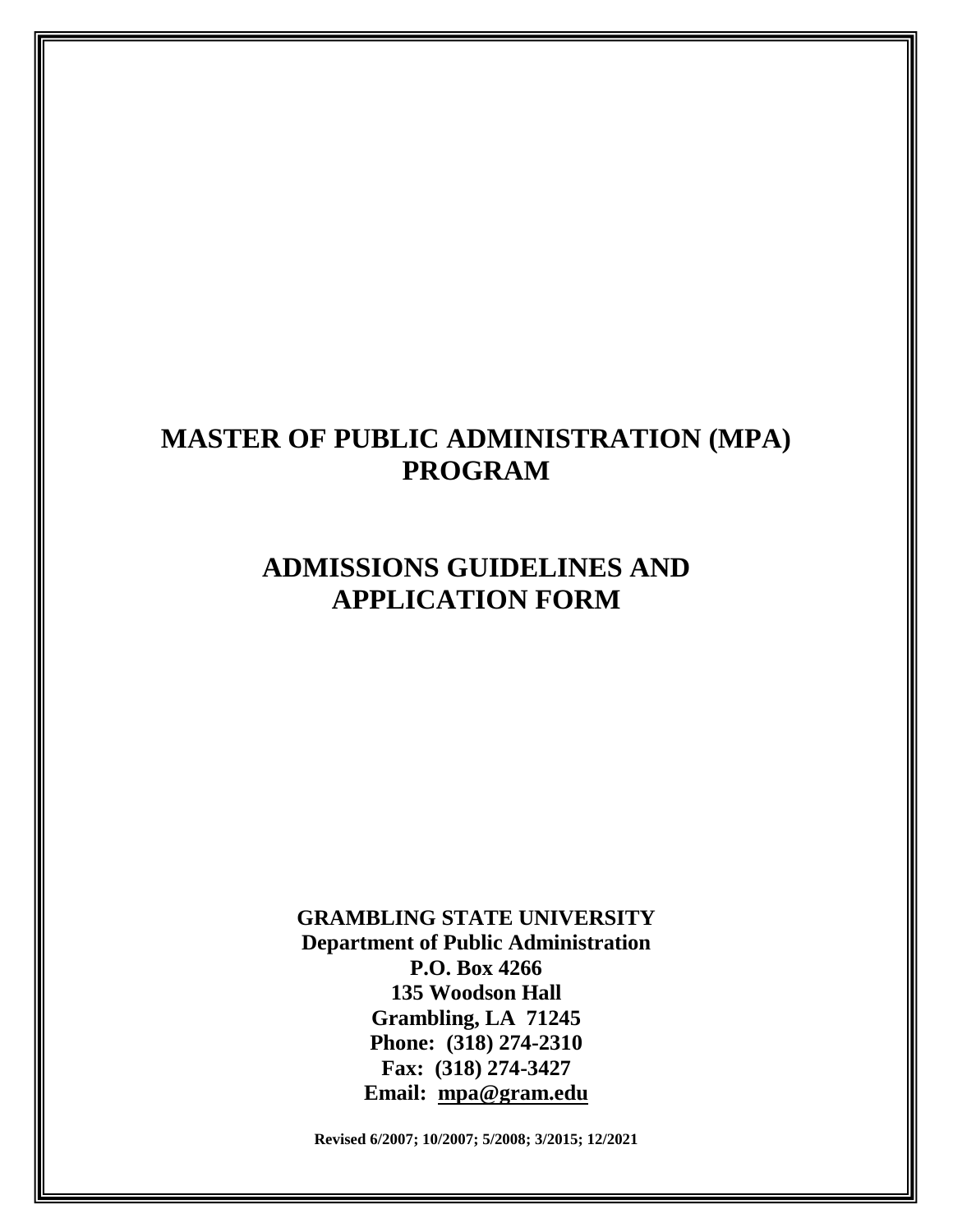# **MASTER OF PUBLIC ADMINISTRATION (MPA) PROGRAM**

# **ADMISSIONS GUIDELINES AND APPLICATION FORM**

**GRAMBLING STATE UNIVERSITY Department of Public Administration P.O. Box 4266 135 Woodson Hall Grambling, LA 71245 Phone: (318) 274-2310 Fax: (318) 274-3427 Email: mpa@gram.edu**

**Revised 6/2007; 10/2007; 5/2008; 3/2015; 12/2021**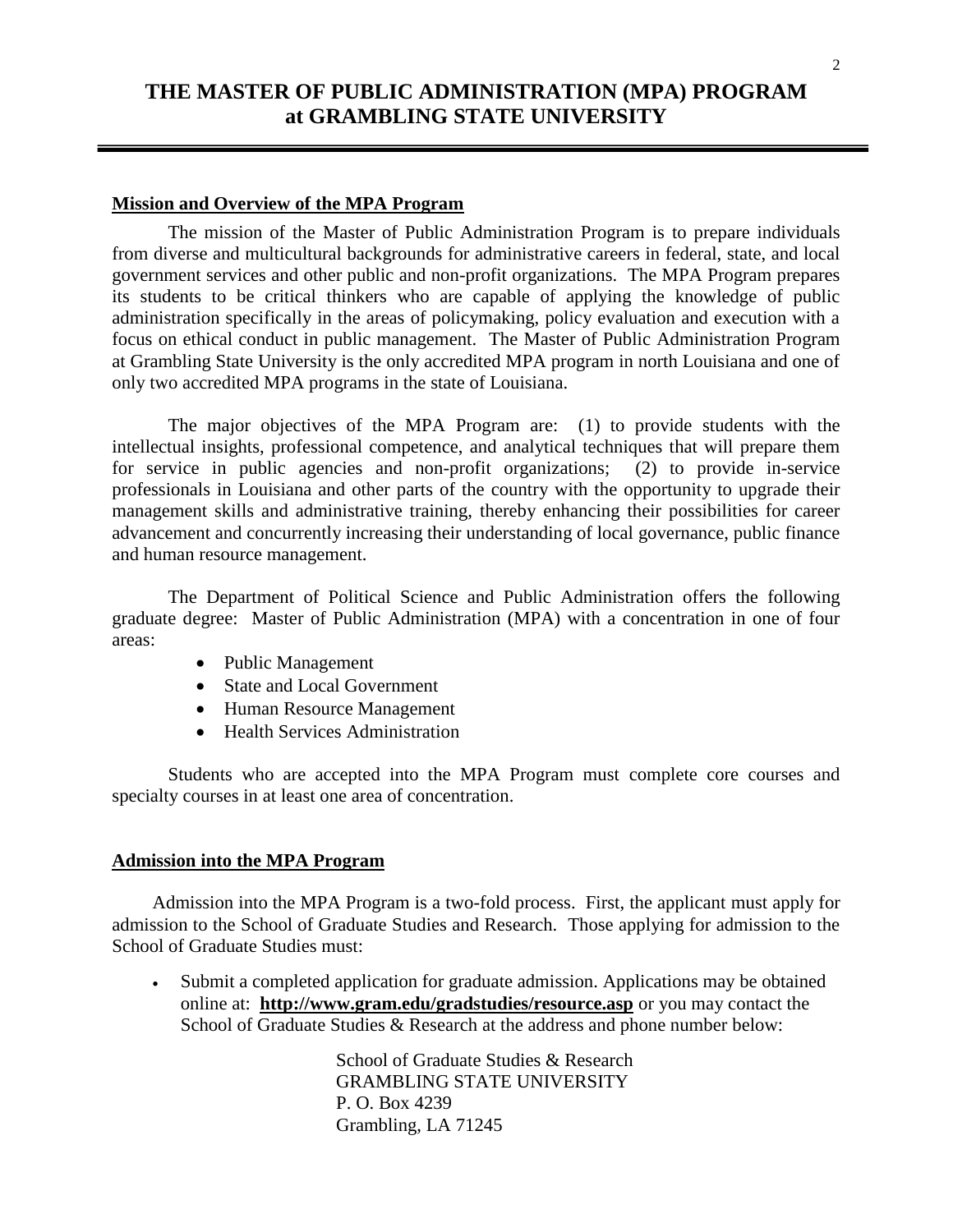## **THE MASTER OF PUBLIC ADMINISTRATION (MPA) PROGRAM at GRAMBLING STATE UNIVERSITY**

## **Mission and Overview of the MPA Program**

The mission of the Master of Public Administration Program is to prepare individuals from diverse and multicultural backgrounds for administrative careers in federal, state, and local government services and other public and non-profit organizations. The MPA Program prepares its students to be critical thinkers who are capable of applying the knowledge of public administration specifically in the areas of policymaking, policy evaluation and execution with a focus on ethical conduct in public management. The Master of Public Administration Program at Grambling State University is the only accredited MPA program in north Louisiana and one of only two accredited MPA programs in the state of Louisiana.

The major objectives of the MPA Program are: (1) to provide students with the intellectual insights, professional competence, and analytical techniques that will prepare them for service in public agencies and non-profit organizations; (2) to provide in-service professionals in Louisiana and other parts of the country with the opportunity to upgrade their management skills and administrative training, thereby enhancing their possibilities for career advancement and concurrently increasing their understanding of local governance, public finance and human resource management.

The Department of Political Science and Public Administration offers the following graduate degree: Master of Public Administration (MPA) with a concentration in one of four areas:

- Public Management
- State and Local Government
- Human Resource Management
- Health Services Administration

Students who are accepted into the MPA Program must complete core courses and specialty courses in at least one area of concentration.

#### **Admission into the MPA Program**

Admission into the MPA Program is a two-fold process. First, the applicant must apply for admission to the School of Graduate Studies and Research. Those applying for admission to the School of Graduate Studies must:

 Submit a completed [application for graduate admission.](http://www.gram.edu/gradstudies/docs/GSApplication07.pdf) Applications may be obtained online at: **<http://www.gram.edu/gradstudies/resource.asp>** or you may contact the School of Graduate Studies & Research at the address and phone number below:

> School of Graduate Studies & Research GRAMBLING STATE UNIVERSITY P. O. Box 4239 Grambling, LA 71245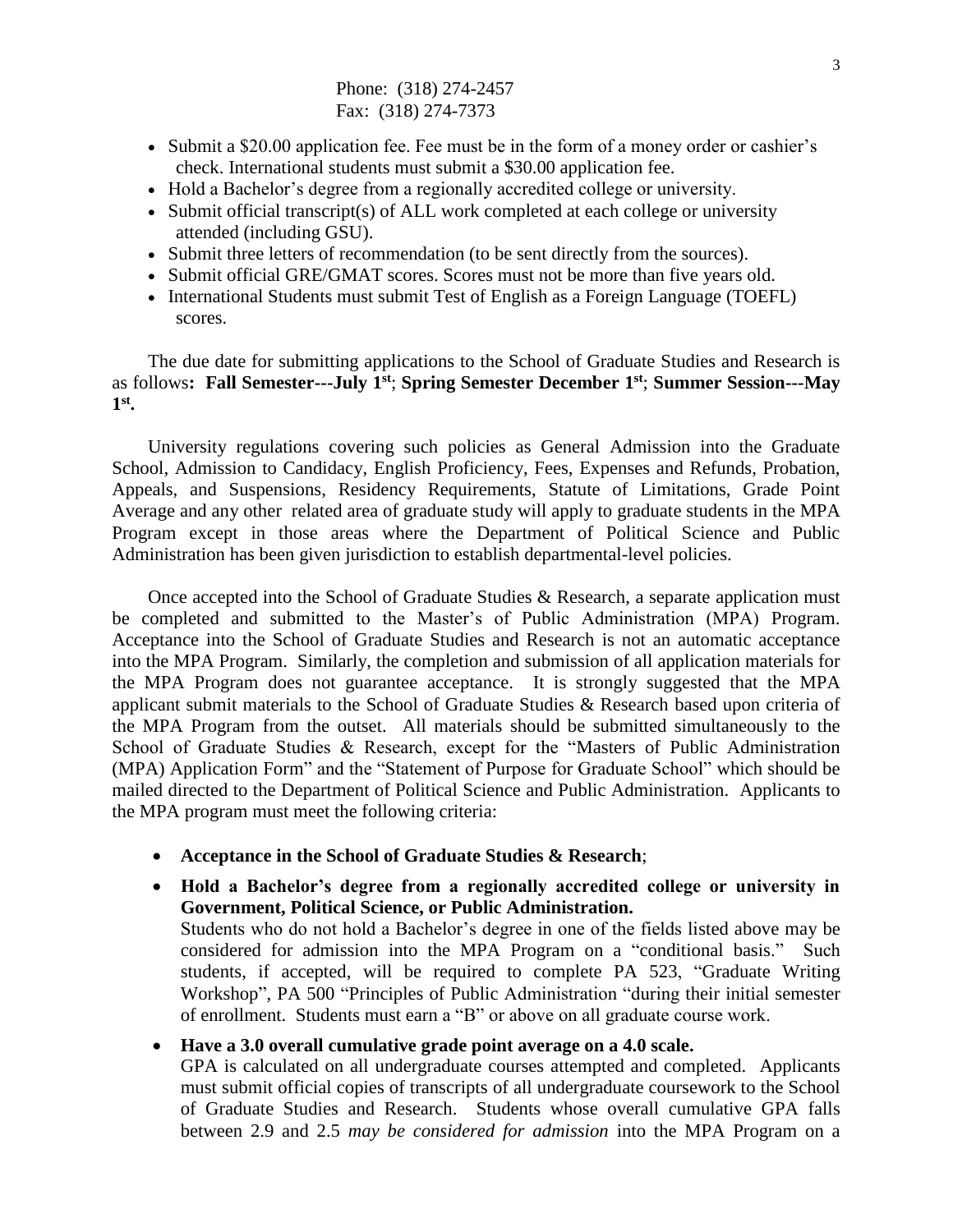Phone: (318) 274-2457 Fax: (318) 274-7373

- Submit a \$20.00 application fee. Fee must be in the form of a money order or cashier's check. International students must submit a \$30.00 application fee.
- Hold a Bachelor's degree from a regionally accredited college or university.
- Submit official transcript(s) of ALL work completed at each college or university attended (including GSU).
- Submit three letters of recommendation (to be sent directly from the sources).
- Submit official GRE/GMAT scores. Scores must not be more than five years old.
- International Students must submit Test of English as a Foreign Language (TOEFL) scores.

The due date for submitting applications to the School of Graduate Studies and Research is as follows**: Fall Semester---July 1st**; **Spring Semester December 1st**; **Summer Session---May 1 st .**

University regulations covering such policies as General Admission into the Graduate School, Admission to Candidacy, English Proficiency, Fees, Expenses and Refunds, Probation, Appeals, and Suspensions, Residency Requirements, Statute of Limitations, Grade Point Average and any other related area of graduate study will apply to graduate students in the MPA Program except in those areas where the Department of Political Science and Public Administration has been given jurisdiction to establish departmental-level policies.

Once accepted into the School of Graduate Studies & Research, a separate application must be completed and submitted to the Master's of Public Administration (MPA) Program. Acceptance into the School of Graduate Studies and Research is not an automatic acceptance into the MPA Program. Similarly, the completion and submission of all application materials for the MPA Program does not guarantee acceptance. It is strongly suggested that the MPA applicant submit materials to the School of Graduate Studies & Research based upon criteria of the MPA Program from the outset. All materials should be submitted simultaneously to the School of Graduate Studies & Research, except for the "Masters of Public Administration (MPA) Application Form" and the "Statement of Purpose for Graduate School" which should be mailed directed to the Department of Political Science and Public Administration. Applicants to the MPA program must meet the following criteria:

- **Acceptance in the School of Graduate Studies & Research**;
- **Hold a Bachelor's degree from a regionally accredited college or university in Government, Political Science, or Public Administration.**

Students who do not hold a Bachelor's degree in one of the fields listed above may be considered for admission into the MPA Program on a "conditional basis." Such students, if accepted, will be required to complete PA 523, "Graduate Writing Workshop", PA 500 "Principles of Public Administration "during their initial semester of enrollment. Students must earn a "B" or above on all graduate course work.

## **Have a 3.0 overall cumulative grade point average on a 4.0 scale.**

GPA is calculated on all undergraduate courses attempted and completed. Applicants must submit official copies of transcripts of all undergraduate coursework to the School of Graduate Studies and Research. Students whose overall cumulative GPA falls between 2.9 and 2.5 *may be considered for admission* into the MPA Program on a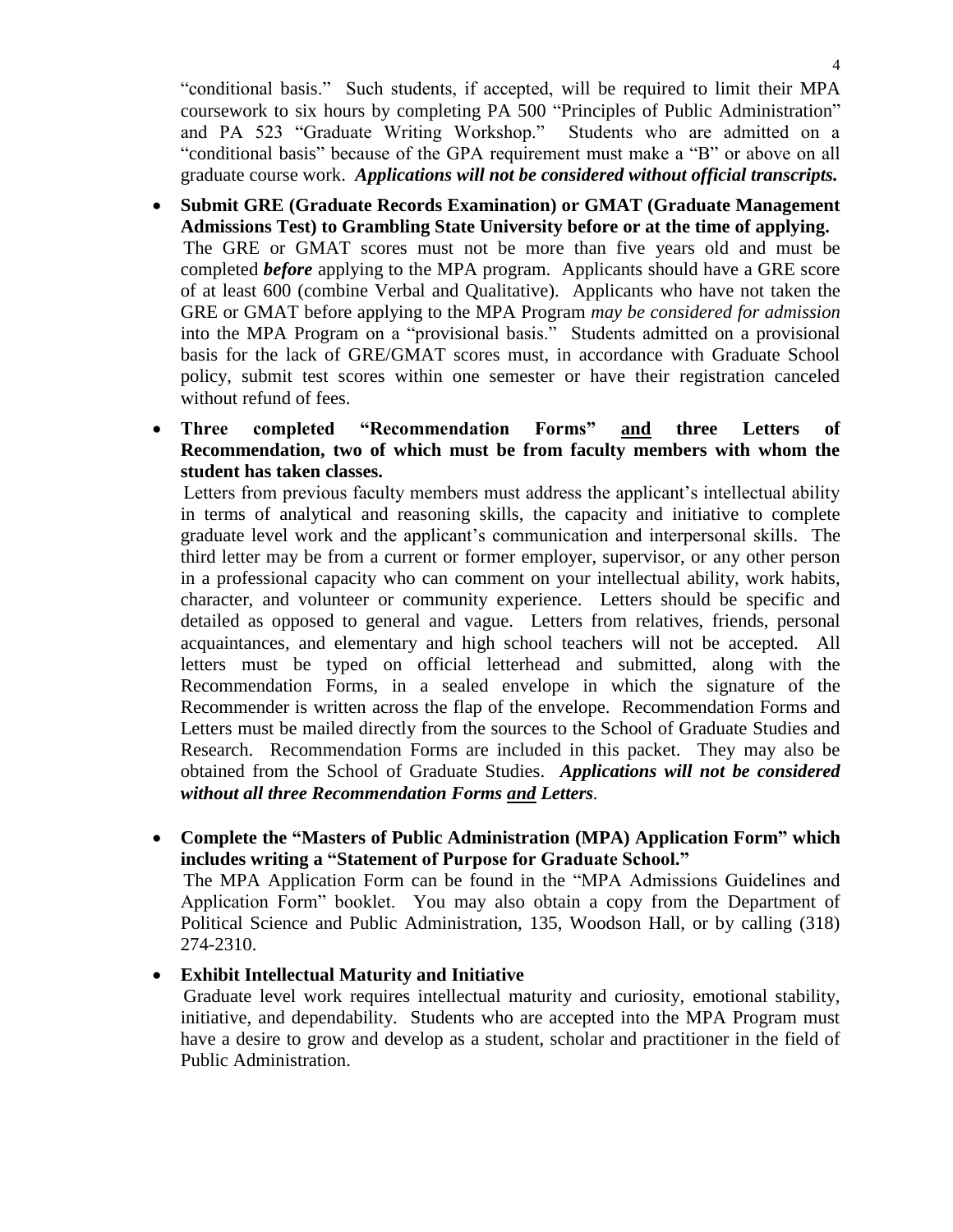"conditional basis." Such students, if accepted, will be required to limit their MPA coursework to six hours by completing PA 500 "Principles of Public Administration" and PA 523 "Graduate Writing Workshop." Students who are admitted on a "conditional basis" because of the GPA requirement must make a "B" or above on all graduate course work. *Applications will not be considered without official transcripts.*

- **Submit GRE (Graduate Records Examination) or GMAT (Graduate Management Admissions Test) to Grambling State University before or at the time of applying.**  The GRE or GMAT scores must not be more than five years old and must be completed *before* applying to the MPA program. Applicants should have a GRE score of at least 600 (combine Verbal and Qualitative). Applicants who have not taken the GRE or GMAT before applying to the MPA Program *may be considered for admission*  into the MPA Program on a "provisional basis." Students admitted on a provisional basis for the lack of GRE/GMAT scores must, in accordance with Graduate School policy, submit test scores within one semester or have their registration canceled without refund of fees.
- **Three completed "Recommendation Forms" and three Letters of Recommendation, two of which must be from faculty members with whom the student has taken classes.**

Letters from previous faculty members must address the applicant's intellectual ability in terms of analytical and reasoning skills, the capacity and initiative to complete graduate level work and the applicant's communication and interpersonal skills. The third letter may be from a current or former employer, supervisor, or any other person in a professional capacity who can comment on your intellectual ability, work habits, character, and volunteer or community experience. Letters should be specific and detailed as opposed to general and vague. Letters from relatives, friends, personal acquaintances, and elementary and high school teachers will not be accepted. All letters must be typed on official letterhead and submitted, along with the Recommendation Forms, in a sealed envelope in which the signature of the Recommender is written across the flap of the envelope. Recommendation Forms and Letters must be mailed directly from the sources to the School of Graduate Studies and Research. Recommendation Forms are included in this packet. They may also be obtained from the School of Graduate Studies. *Applications will not be considered without all three Recommendation Forms and Letters.*

 **Complete the "Masters of Public Administration (MPA) Application Form" which includes writing a "Statement of Purpose for Graduate School."** 

The MPA Application Form can be found in the "MPA Admissions Guidelines and Application Form" booklet. You may also obtain a copy from the Department of Political Science and Public Administration, 135, Woodson Hall, or by calling (318) 274-2310.

**Exhibit Intellectual Maturity and Initiative**

Graduate level work requires intellectual maturity and curiosity, emotional stability, initiative, and dependability. Students who are accepted into the MPA Program must have a desire to grow and develop as a student, scholar and practitioner in the field of Public Administration.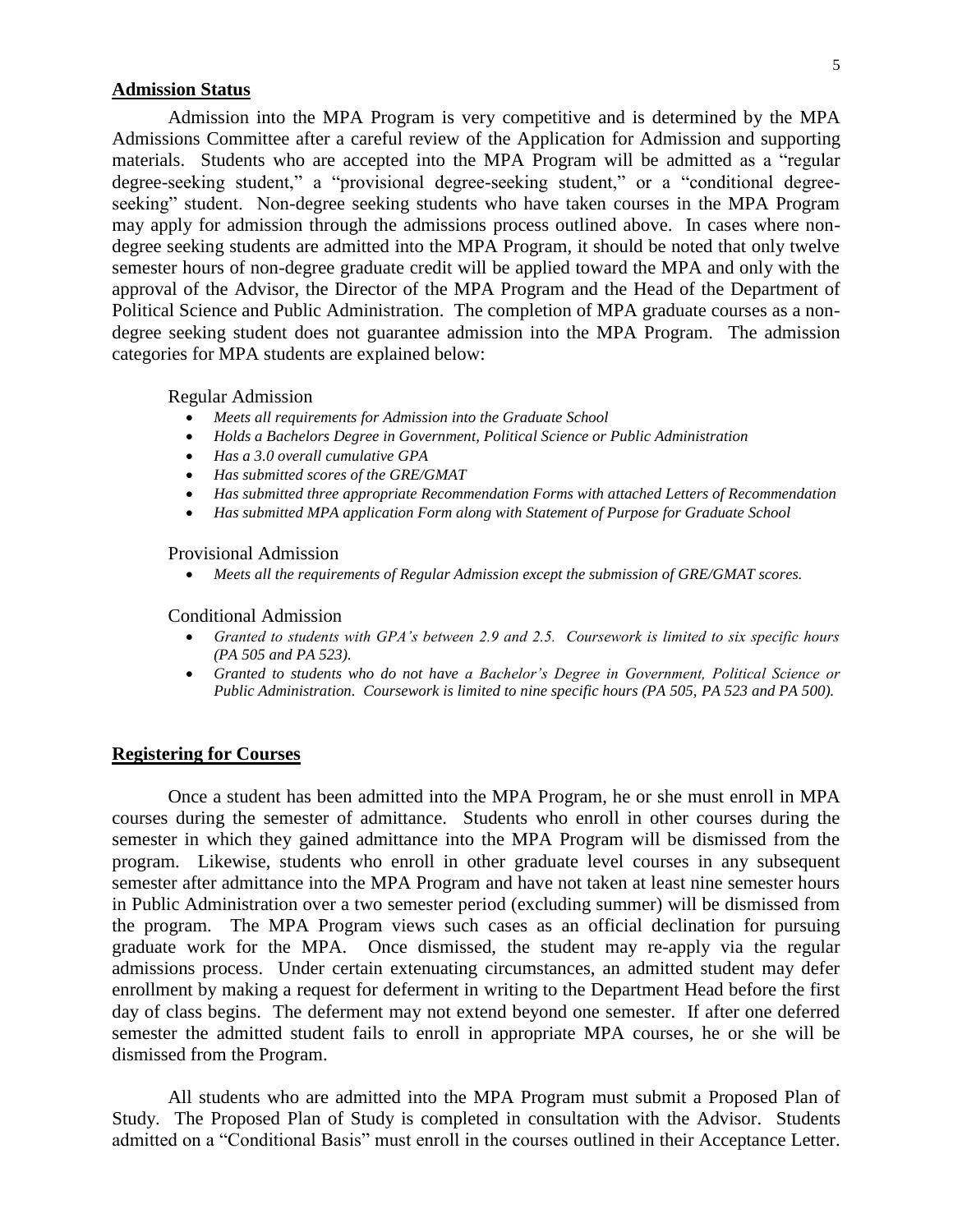## **Admission Status**

Admission into the MPA Program is very competitive and is determined by the MPA Admissions Committee after a careful review of the Application for Admission and supporting materials. Students who are accepted into the MPA Program will be admitted as a "regular degree-seeking student," a "provisional degree-seeking student," or a "conditional degreeseeking" student. Non-degree seeking students who have taken courses in the MPA Program may apply for admission through the admissions process outlined above. In cases where nondegree seeking students are admitted into the MPA Program, it should be noted that only twelve semester hours of non-degree graduate credit will be applied toward the MPA and only with the approval of the Advisor, the Director of the MPA Program and the Head of the Department of Political Science and Public Administration. The completion of MPA graduate courses as a nondegree seeking student does not guarantee admission into the MPA Program. The admission categories for MPA students are explained below:

Regular Admission

- *Meets all requirements for Admission into the Graduate School*
- *Holds a Bachelors Degree in Government, Political Science or Public Administration*
- *Has a 3.0 overall cumulative GPA*
- *Has submitted scores of the GRE/GMAT*
- *Has submitted three appropriate Recommendation Forms with attached Letters of Recommendation*
- *Has submitted MPA application Form along with Statement of Purpose for Graduate School*

Provisional Admission

*Meets all the requirements of Regular Admission except the submission of GRE/GMAT scores.*

Conditional Admission

- *Granted to students with GPA's between 2.9 and 2.5. Coursework is limited to six specific hours (PA 505 and PA 523).*
- *Granted to students who do not have a Bachelor's Degree in Government, Political Science or Public Administration. Coursework is limited to nine specific hours (PA 505, PA 523 and PA 500).*

### **Registering for Courses**

Once a student has been admitted into the MPA Program, he or she must enroll in MPA courses during the semester of admittance. Students who enroll in other courses during the semester in which they gained admittance into the MPA Program will be dismissed from the program. Likewise, students who enroll in other graduate level courses in any subsequent semester after admittance into the MPA Program and have not taken at least nine semester hours in Public Administration over a two semester period (excluding summer) will be dismissed from the program. The MPA Program views such cases as an official declination for pursuing graduate work for the MPA. Once dismissed, the student may re-apply via the regular admissions process. Under certain extenuating circumstances, an admitted student may defer enrollment by making a request for deferment in writing to the Department Head before the first day of class begins. The deferment may not extend beyond one semester. If after one deferred semester the admitted student fails to enroll in appropriate MPA courses, he or she will be dismissed from the Program.

All students who are admitted into the MPA Program must submit a Proposed Plan of Study. The Proposed Plan of Study is completed in consultation with the Advisor. Students admitted on a "Conditional Basis" must enroll in the courses outlined in their Acceptance Letter.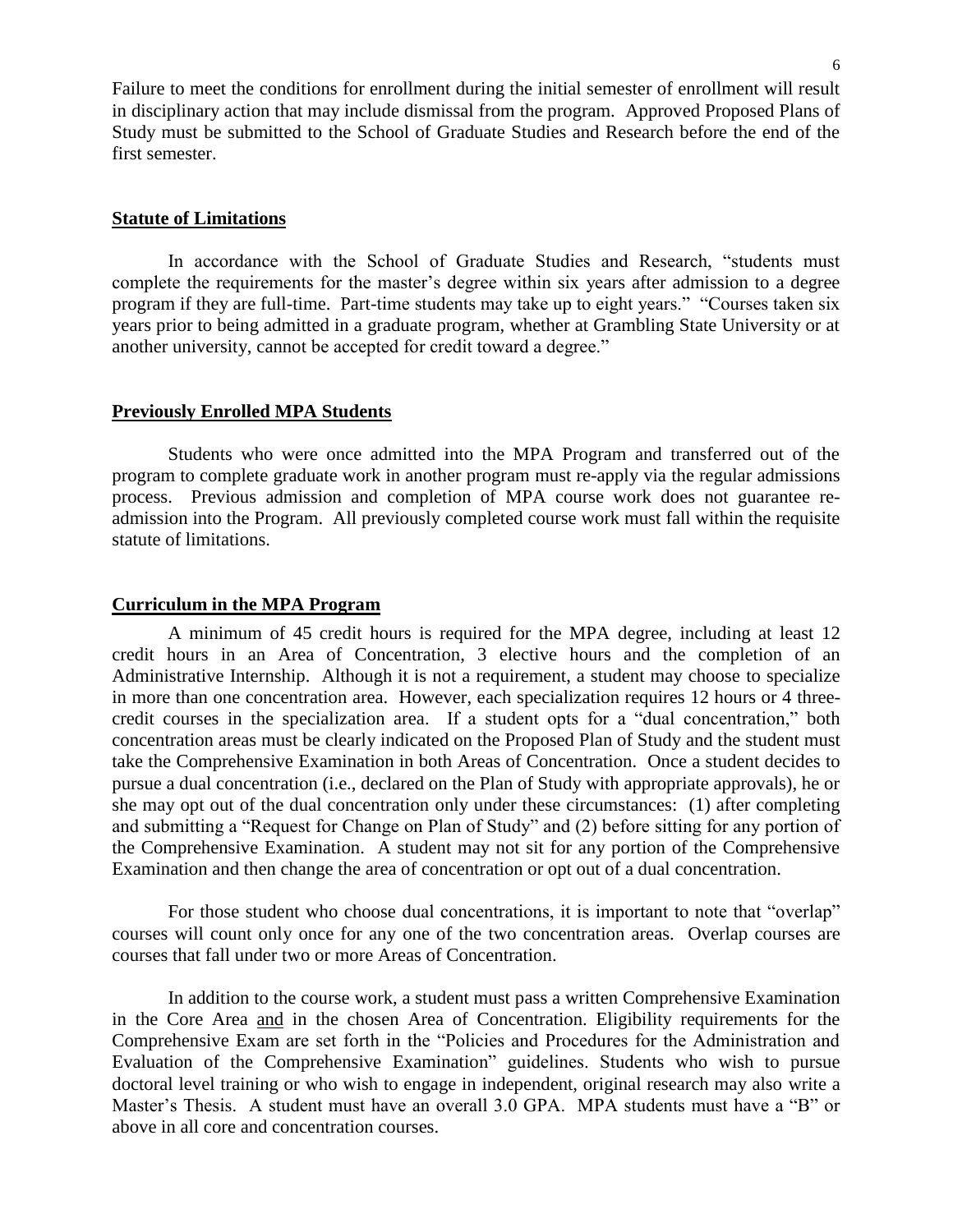Failure to meet the conditions for enrollment during the initial semester of enrollment will result in disciplinary action that may include dismissal from the program. Approved Proposed Plans of Study must be submitted to the School of Graduate Studies and Research before the end of the first semester.

## **Statute of Limitations**

In accordance with the School of Graduate Studies and Research, "students must complete the requirements for the master's degree within six years after admission to a degree program if they are full-time. Part-time students may take up to eight years." "Courses taken six years prior to being admitted in a graduate program, whether at Grambling State University or at another university, cannot be accepted for credit toward a degree."

### **Previously Enrolled MPA Students**

Students who were once admitted into the MPA Program and transferred out of the program to complete graduate work in another program must re-apply via the regular admissions process. Previous admission and completion of MPA course work does not guarantee readmission into the Program. All previously completed course work must fall within the requisite statute of limitations.

#### **Curriculum in the MPA Program**

A minimum of 45 credit hours is required for the MPA degree, including at least 12 credit hours in an Area of Concentration, 3 elective hours and the completion of an Administrative Internship. Although it is not a requirement, a student may choose to specialize in more than one concentration area. However, each specialization requires 12 hours or 4 threecredit courses in the specialization area. If a student opts for a "dual concentration," both concentration areas must be clearly indicated on the Proposed Plan of Study and the student must take the Comprehensive Examination in both Areas of Concentration. Once a student decides to pursue a dual concentration (i.e., declared on the Plan of Study with appropriate approvals), he or she may opt out of the dual concentration only under these circumstances: (1) after completing and submitting a "Request for Change on Plan of Study" and (2) before sitting for any portion of the Comprehensive Examination. A student may not sit for any portion of the Comprehensive Examination and then change the area of concentration or opt out of a dual concentration.

For those student who choose dual concentrations, it is important to note that "overlap" courses will count only once for any one of the two concentration areas. Overlap courses are courses that fall under two or more Areas of Concentration.

In addition to the course work, a student must pass a written Comprehensive Examination in the Core Area and in the chosen Area of Concentration. Eligibility requirements for the Comprehensive Exam are set forth in the "Policies and Procedures for the Administration and Evaluation of the Comprehensive Examination" guidelines. Students who wish to pursue doctoral level training or who wish to engage in independent, original research may also write a Master's Thesis. A student must have an overall 3.0 GPA. MPA students must have a "B" or above in all core and concentration courses.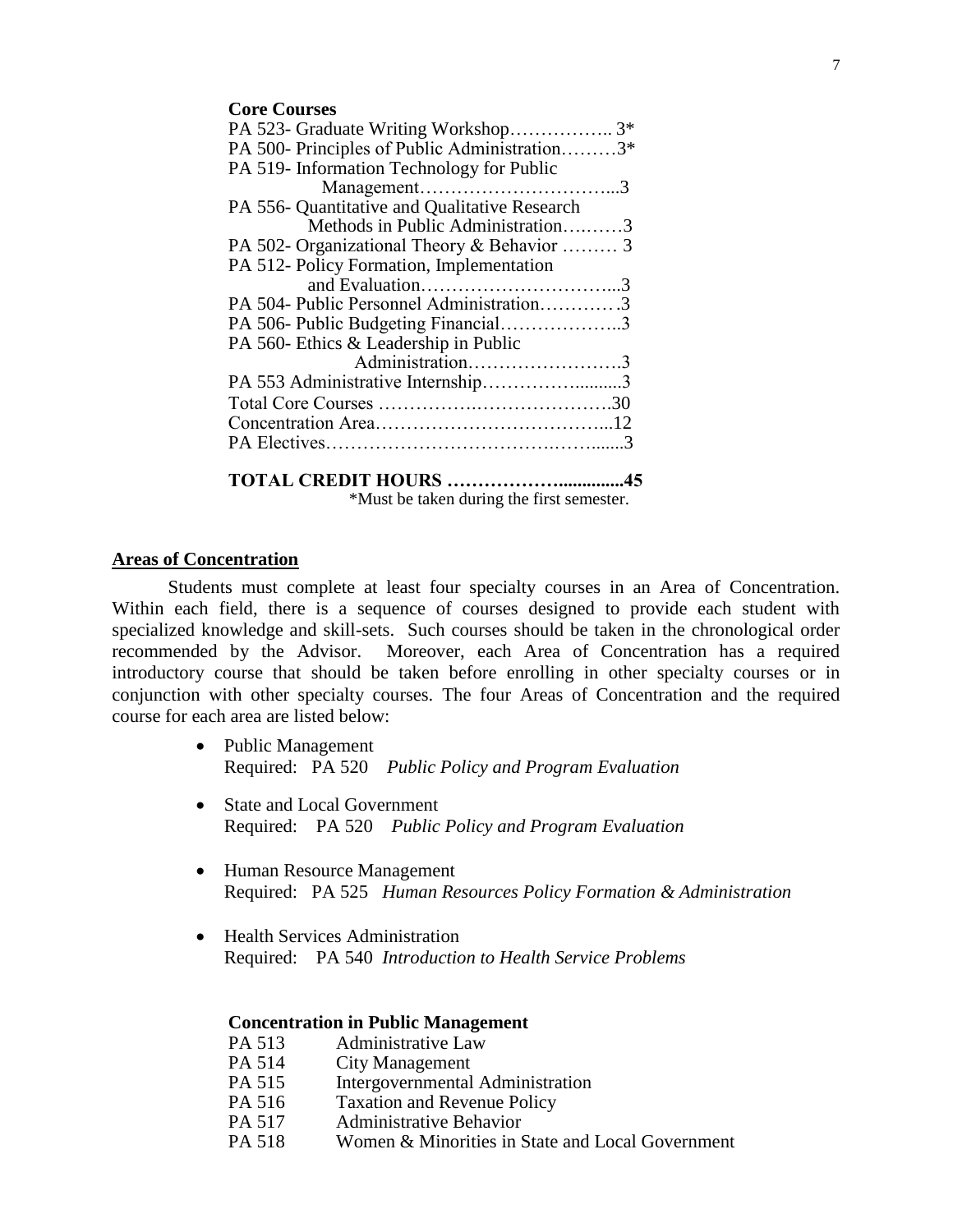#### **Core Courses**

## **Areas of Concentration**

Students must complete at least four specialty courses in an Area of Concentration. Within each field, there is a sequence of courses designed to provide each student with specialized knowledge and skill-sets. Such courses should be taken in the chronological order recommended by the Advisor. Moreover, each Area of Concentration has a required introductory course that should be taken before enrolling in other specialty courses or in conjunction with other specialty courses. The four Areas of Concentration and the required course for each area are listed below:

- Public Management Required: PA 520 *Public Policy and Program Evaluation*
- State and Local Government Required: PA 520 *Public Policy and Program Evaluation*
- Human Resource Management Required: PA 525 *Human Resources Policy Formation & Administration*
- Health Services Administration Required: PA 540 *Introduction to Health Service Problems*

#### **Concentration in Public Management**

- PA 513 Administrative Law<br>PA 514 City Management
- **City Management**
- PA 515 Intergovernmental Administration
- PA 516 Taxation and Revenue Policy
- PA 517 Administrative Behavior
- PA 518 Women & Minorities in State and Local Government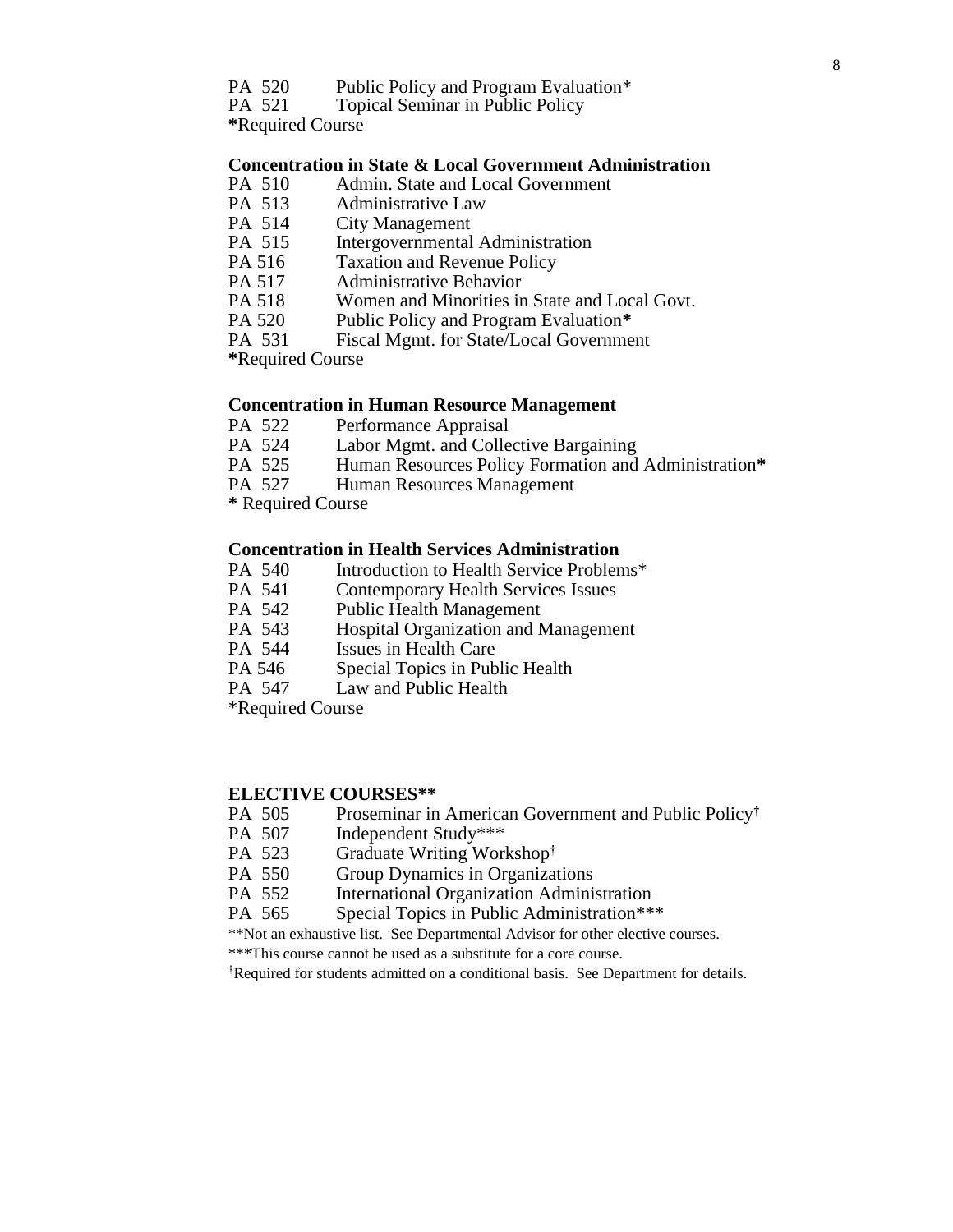- PA 520 Public Policy and Program Evaluation\*
- PA 521 Topical Seminar in Public Policy

**\***Required Course

## **Concentration in State & Local Government Administration**

- PA 510 Admin. State and Local Government
- PA 513 Administrative Law
- PA 514 City Management
- PA 515 Intergovernmental Administration
- PA 516 Taxation and Revenue Policy<br>PA 517 Administrative Behavior
- Administrative Behavior
- PA 518 Women and Minorities in State and Local Govt.
- PA 520 Public Policy and Program Evaluation**\***
- PA 531 Fiscal Mgmt. for State/Local Government

**\***Required Course

## **Concentration in Human Resource Management**

- PA 522 Performance Appraisal<br>PA 524 Labor Mgmt. and Colle
- Labor Mgmt. and Collective Bargaining
- PA 525 Human Resources Policy Formation and Administration**\***
- PA 527 Human Resources Management
- **\*** Required Course

#### **Concentration in Health Services Administration**

- PA 540 Introduction to Health Service Problems\*
- PA 541 Contemporary Health Services Issues
- PA 542 Public Health Management
- PA 543 Hospital Organization and Management
- PA 544 Issues in Health Care
- PA 546 Special Topics in Public Health
- PA 547 Law and Public Health
- \*Required Course

## **ELECTIVE COURSES\*\***

- PA 505 Proseminar in American Government and Public Policy**†**
- PA 507 Independent Study\*\*\*<br>PA 523 Graduate Writing Wor
- PA 523 Graduate Writing Workshop**†**
- **Group Dynamics in Organizations**
- PA 552 International Organization Administration
- PA 565 Special Topics in Public Administration\*\*\*
- \*\*Not an exhaustive list. See Departmental Advisor for other elective courses.
- \*\*\*This course cannot be used as a substitute for a core course.

**†**Required for students admitted on a conditional basis. See Department for details.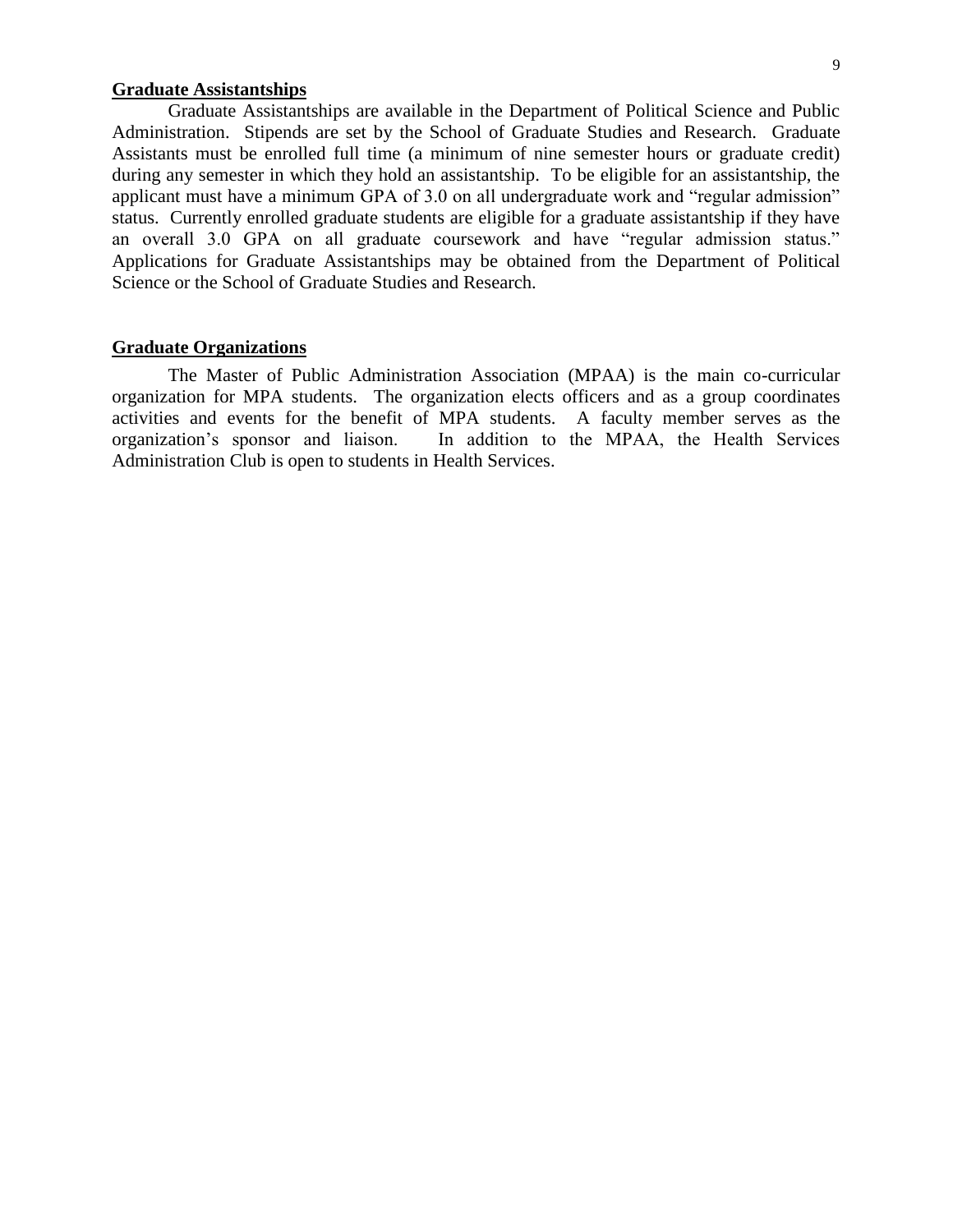## **Graduate Assistantships**

Graduate Assistantships are available in the Department of Political Science and Public Administration. Stipends are set by the School of Graduate Studies and Research. Graduate Assistants must be enrolled full time (a minimum of nine semester hours or graduate credit) during any semester in which they hold an assistantship. To be eligible for an assistantship, the applicant must have a minimum GPA of 3.0 on all undergraduate work and "regular admission" status. Currently enrolled graduate students are eligible for a graduate assistantship if they have an overall 3.0 GPA on all graduate coursework and have "regular admission status." Applications for Graduate Assistantships may be obtained from the Department of Political Science or the School of Graduate Studies and Research.

#### **Graduate Organizations**

The Master of Public Administration Association (MPAA) is the main co-curricular organization for MPA students. The organization elects officers and as a group coordinates activities and events for the benefit of MPA students. A faculty member serves as the organization's sponsor and liaison. In addition to the MPAA, the Health Services Administration Club is open to students in Health Services.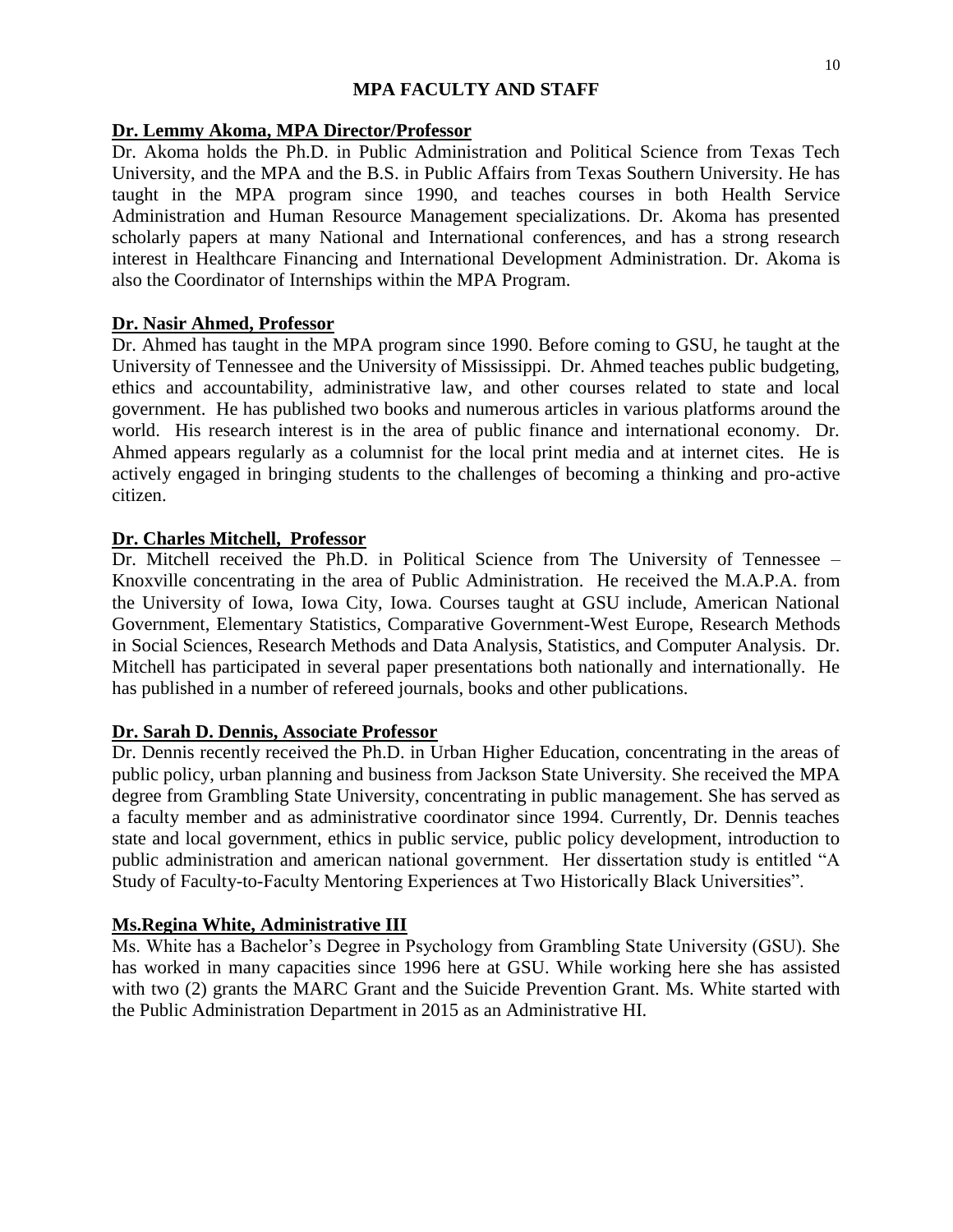## **MPA FACULTY AND STAFF**

## **Dr. Lemmy Akoma, MPA Director/Professor**

Dr. Akoma holds the Ph.D. in Public Administration and Political Science from Texas Tech University, and the MPA and the B.S. in Public Affairs from Texas Southern University. He has taught in the MPA program since 1990, and teaches courses in both Health Service Administration and Human Resource Management specializations. Dr. Akoma has presented scholarly papers at many National and International conferences, and has a strong research interest in Healthcare Financing and International Development Administration. Dr. Akoma is also the Coordinator of Internships within the MPA Program.

## **Dr. Nasir Ahmed, Professor**

Dr. Ahmed has taught in the MPA program since 1990. Before coming to GSU, he taught at the University of Tennessee and the University of Mississippi. Dr. Ahmed teaches public budgeting, ethics and accountability, administrative law, and other courses related to state and local government. He has published two books and numerous articles in various platforms around the world. His research interest is in the area of public finance and international economy. Dr. Ahmed appears regularly as a columnist for the local print media and at internet cites. He is actively engaged in bringing students to the challenges of becoming a thinking and pro-active citizen.

## **Dr. Charles Mitchell, Professor**

Dr. Mitchell received the Ph.D. in Political Science from The University of Tennessee – Knoxville concentrating in the area of Public Administration. He received the M.A.P.A. from the University of Iowa, Iowa City, Iowa. Courses taught at GSU include, American National Government, Elementary Statistics, Comparative Government-West Europe, Research Methods in Social Sciences, Research Methods and Data Analysis, Statistics, and Computer Analysis. Dr. Mitchell has participated in several paper presentations both nationally and internationally. He has published in a number of refereed journals, books and other publications.

## **Dr. Sarah D. Dennis, Associate Professor**

Dr. Dennis recently received the Ph.D. in Urban Higher Education, concentrating in the areas of public policy, urban planning and business from Jackson State University. She received the MPA degree from Grambling State University, concentrating in public management. She has served as a faculty member and as administrative coordinator since 1994. Currently, Dr. Dennis teaches state and local government, ethics in public service, public policy development, introduction to public administration and american national government. Her dissertation study is entitled "A Study of Faculty-to-Faculty Mentoring Experiences at Two Historically Black Universities".

## **Ms.Regina White, Administrative III**

Ms. White has a Bachelor's Degree in Psychology from Grambling State University (GSU). She has worked in many capacities since 1996 here at GSU. While working here she has assisted with two (2) grants the MARC Grant and the Suicide Prevention Grant. Ms. White started with the Public Administration Department in 2015 as an Administrative HI.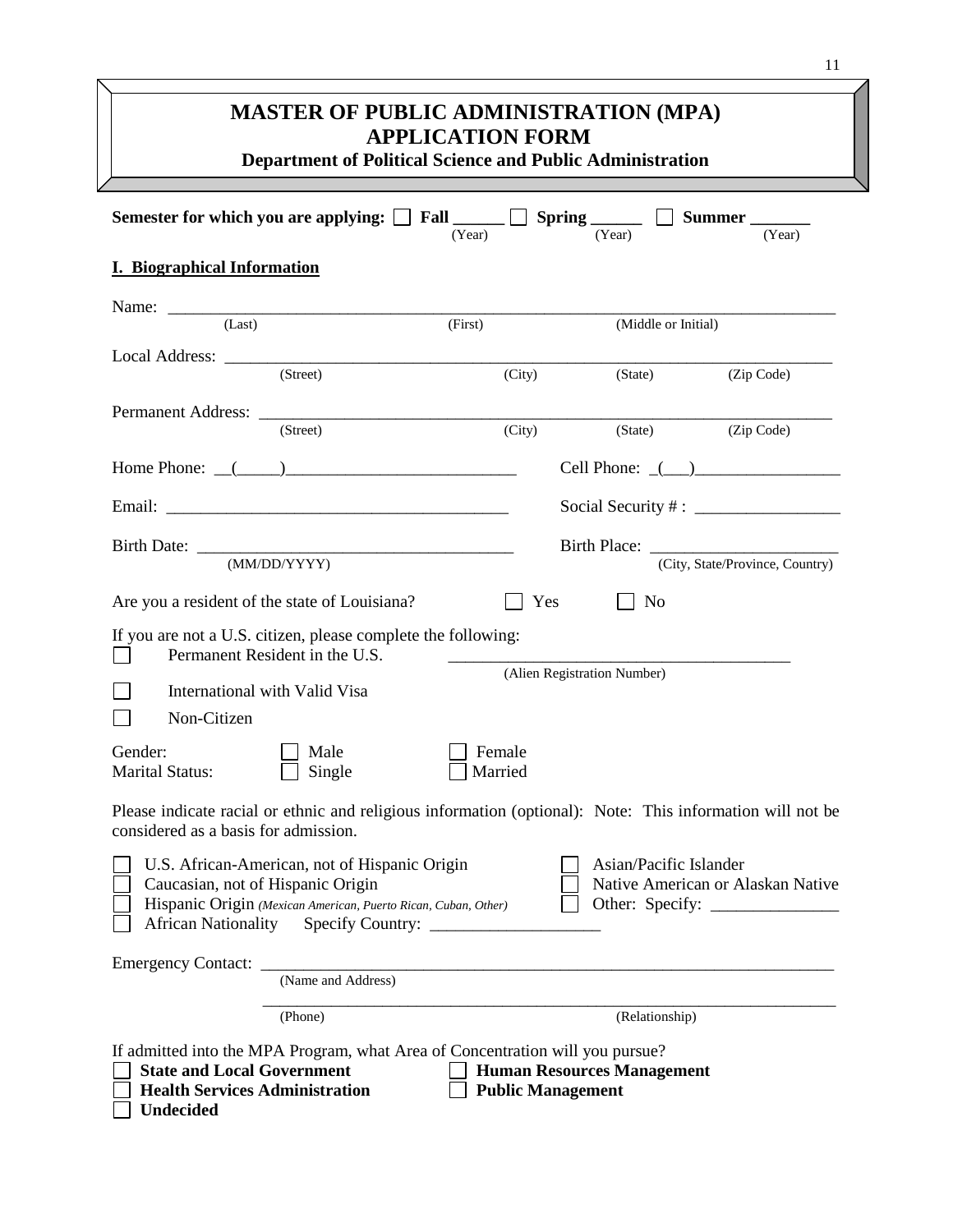|                                                                                                                                                                                    | <b>MASTER OF PUBLIC ADMINISTRATION (MPA)</b><br><b>APPLICATION FORM</b><br><b>Department of Political Science and Public Administration</b> | 11                                                                                                        |
|------------------------------------------------------------------------------------------------------------------------------------------------------------------------------------|---------------------------------------------------------------------------------------------------------------------------------------------|-----------------------------------------------------------------------------------------------------------|
| Semester for which you are applying:                                                                                                                                               | (Year)                                                                                                                                      | Fall Spring Spring Summer<br>(Year)<br>(Year)                                                             |
| <b>I. Biographical Information</b>                                                                                                                                                 |                                                                                                                                             |                                                                                                           |
|                                                                                                                                                                                    |                                                                                                                                             |                                                                                                           |
| (Last)                                                                                                                                                                             | (First)                                                                                                                                     | (Middle or Initial)                                                                                       |
| (Street)                                                                                                                                                                           |                                                                                                                                             |                                                                                                           |
|                                                                                                                                                                                    | (City)                                                                                                                                      | (Zip Code)<br>(State)                                                                                     |
| (Street)                                                                                                                                                                           | (City)                                                                                                                                      | (Zip Code)<br>(State)                                                                                     |
| Home Phone: $($                                                                                                                                                                    |                                                                                                                                             | Cell Phone: $($ $)$                                                                                       |
|                                                                                                                                                                                    |                                                                                                                                             |                                                                                                           |
|                                                                                                                                                                                    |                                                                                                                                             |                                                                                                           |
|                                                                                                                                                                                    |                                                                                                                                             |                                                                                                           |
| (MM/DD/YYYY)                                                                                                                                                                       |                                                                                                                                             | (City, State/Province, Country)                                                                           |
| Are you a resident of the state of Louisiana?                                                                                                                                      | Yes                                                                                                                                         | <b>No</b>                                                                                                 |
| If you are not a U.S. citizen, please complete the following:                                                                                                                      |                                                                                                                                             |                                                                                                           |
| Permanent Resident in the U.S.                                                                                                                                                     |                                                                                                                                             | (Alien Registration Number)                                                                               |
| International with Valid Visa                                                                                                                                                      |                                                                                                                                             |                                                                                                           |
| Non-Citizen                                                                                                                                                                        |                                                                                                                                             |                                                                                                           |
| $\Box$ Male<br>Gender:<br><b>Marital Status:</b><br>Single                                                                                                                         | $\Box$ Female<br>Married                                                                                                                    |                                                                                                           |
| considered as a basis for admission.                                                                                                                                               |                                                                                                                                             | Please indicate racial or ethnic and religious information (optional): Note: This information will not be |
| U.S. African-American, not of Hispanic Origin<br>Caucasian, not of Hispanic Origin<br>Hispanic Origin (Mexican American, Puerto Rican, Cuban, Other)<br><b>African Nationality</b> |                                                                                                                                             | Asian/Pacific Islander<br>Native American or Alaskan Native                                               |
| Emergency Contact:                                                                                                                                                                 |                                                                                                                                             |                                                                                                           |
| (Name and Address)                                                                                                                                                                 |                                                                                                                                             |                                                                                                           |
| (Phone)                                                                                                                                                                            |                                                                                                                                             | (Relationship)                                                                                            |
| If admitted into the MPA Program, what Area of Concentration will you pursue?<br><b>State and Local Government</b><br><b>Health Services Administration</b><br><b>Undecided</b>    | <b>Public Management</b>                                                                                                                    | <b>Human Resources Management</b>                                                                         |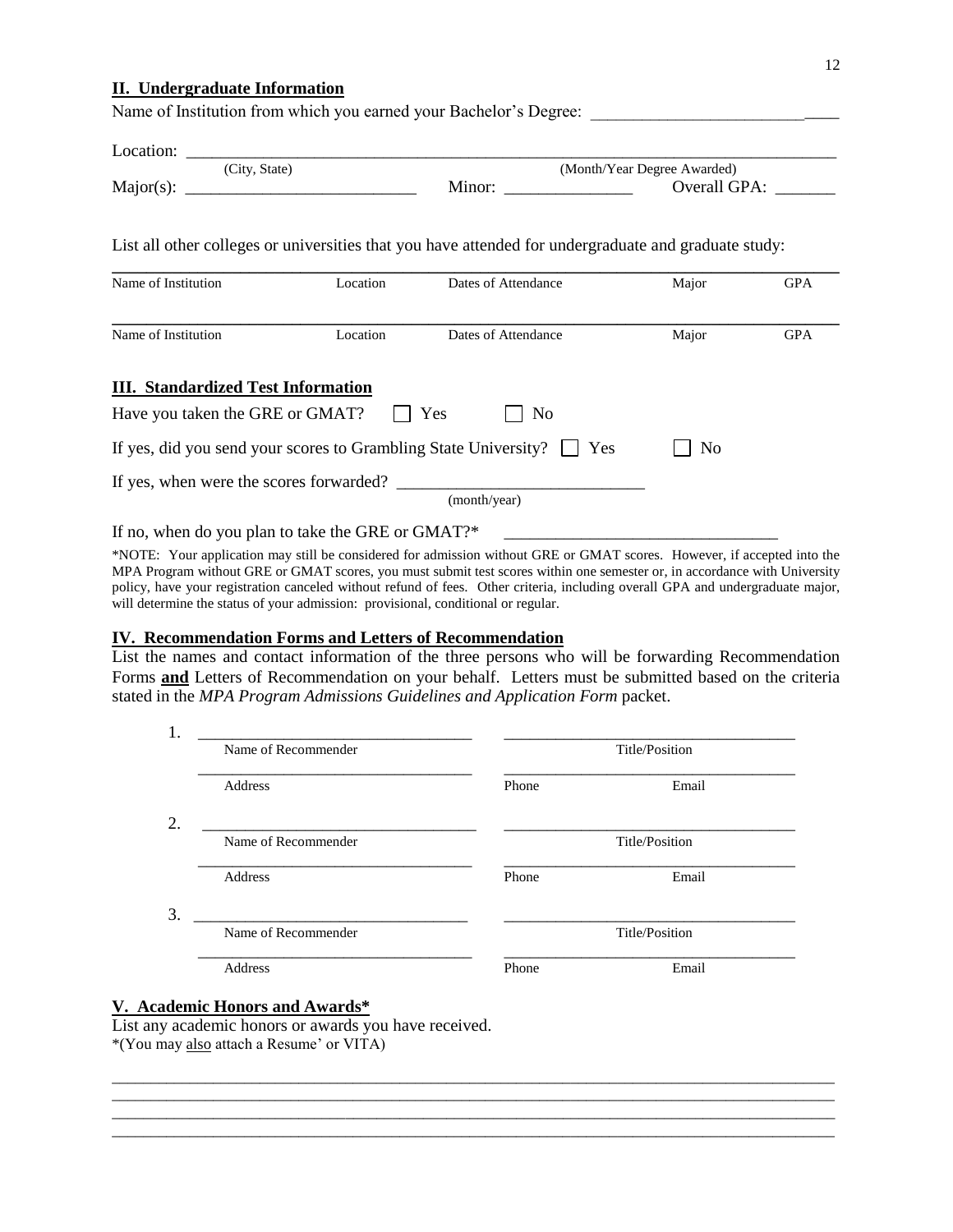#### **II. Undergraduate Information**

Name of Institution from which you earned your Bachelor's Degree:

| Location:                                                       |                                                          |                                                                                                      |                             |            |
|-----------------------------------------------------------------|----------------------------------------------------------|------------------------------------------------------------------------------------------------------|-----------------------------|------------|
| (City, State)                                                   |                                                          |                                                                                                      | (Month/Year Degree Awarded) |            |
| Major(s):                                                       | <u> 1980 - Jan James James Barnett, fransk politik (</u> | Minor:                                                                                               | Overall GPA:                |            |
|                                                                 |                                                          | List all other colleges or universities that you have attended for undergraduate and graduate study: |                             |            |
| Name of Institution                                             | Location                                                 | Dates of Attendance                                                                                  | Major                       | <b>GPA</b> |
| Name of Institution                                             | Location                                                 | Dates of Attendance                                                                                  | Major                       | <b>GPA</b> |
| <b>III.</b> Standardized Test Information                       |                                                          |                                                                                                      |                             |            |
| Have you taken the GRE or GMAT?                                 |                                                          | Yes<br>N <sub>0</sub>                                                                                |                             |            |
| If yes, did you send your scores to Grambling State University? |                                                          | Yes                                                                                                  | No                          |            |
| If yes, when were the scores forwarded?                         |                                                          | (month/year)                                                                                         |                             |            |

If no, when do you plan to take the GRE or GMAT?\*

\*NOTE: Your application may still be considered for admission without GRE or GMAT scores. However, if accepted into the MPA Program without GRE or GMAT scores, you must submit test scores within one semester or, in accordance with University policy, have your registration canceled without refund of fees. Other criteria, including overall GPA and undergraduate major, will determine the status of your admission: provisional, conditional or regular.

#### **IV. Recommendation Forms and Letters of Recommendation**

List the names and contact information of the three persons who will be forwarding Recommendation Forms **and** Letters of Recommendation on your behalf. Letters must be submitted based on the criteria stated in the *MPA Program Admissions Guidelines and Application Form* packet.

| Name of Recommender |       | Title/Position |
|---------------------|-------|----------------|
| Address             | Phone | Email          |
| Name of Recommender |       | Title/Position |
| Address             | Phone | Email          |
|                     |       |                |
| Name of Recommender |       | Title/Position |
| Address             | Phone | Email          |

 $\_$  ,  $\_$  ,  $\_$  ,  $\_$  ,  $\_$  ,  $\_$  ,  $\_$  ,  $\_$  ,  $\_$  ,  $\_$  ,  $\_$  ,  $\_$  ,  $\_$  ,  $\_$  ,  $\_$  ,  $\_$  ,  $\_$  ,  $\_$  ,  $\_$  ,  $\_$  ,  $\_$  ,  $\_$  ,  $\_$  ,  $\_$  ,  $\_$  ,  $\_$  ,  $\_$  ,  $\_$  ,  $\_$  ,  $\_$  ,  $\_$  ,  $\_$  ,  $\_$  ,  $\_$  ,  $\_$  ,  $\_$  ,  $\_$  ,  $\_$  ,  $\_$  ,  $\_$  ,  $\_$  ,  $\_$  ,  $\_$  ,  $\_$  ,  $\_$  ,  $\_$  ,  $\_$  ,  $\_$  ,  $\_$  ,  $\_$  ,  $\_$  ,  $\_$  ,  $\_$  ,  $\_$  ,  $\_$  ,  $\_$  ,  $\_$  ,  $\_$  ,  $\_$  ,  $\_$  ,  $\_$  ,  $\_$  ,  $\_$  ,  $\_$  ,  $\_$  ,  $\_$  ,  $\_$  ,  $\_$  ,  $\_$  ,  $\_$  ,  $\_$  ,  $\_$  ,  $\_$  ,  $\_$  , \_\_\_\_\_\_\_\_\_\_\_\_\_\_\_\_\_\_\_\_\_\_\_\_\_\_\_\_\_\_\_\_\_\_\_\_\_\_\_\_\_\_\_\_\_\_\_\_\_\_\_\_\_\_\_\_\_\_\_\_\_\_\_\_\_\_\_\_\_\_\_\_\_\_\_\_\_\_\_\_\_\_\_\_\_\_\_\_\_\_\_\_\_ \_\_\_\_\_\_\_\_\_\_\_\_\_\_\_\_\_\_\_\_\_\_\_\_\_\_\_\_\_\_\_\_\_\_\_\_\_\_\_\_\_\_\_\_\_\_\_\_\_\_\_\_\_\_\_\_\_\_\_\_\_\_\_\_\_\_\_\_\_\_\_\_\_\_\_\_\_\_\_\_\_\_\_\_\_\_\_\_\_\_\_\_\_

## **V. Academic Honors and Awards\***

List any academic honors or awards you have received. \*(You may also attach a Resume' or VITA)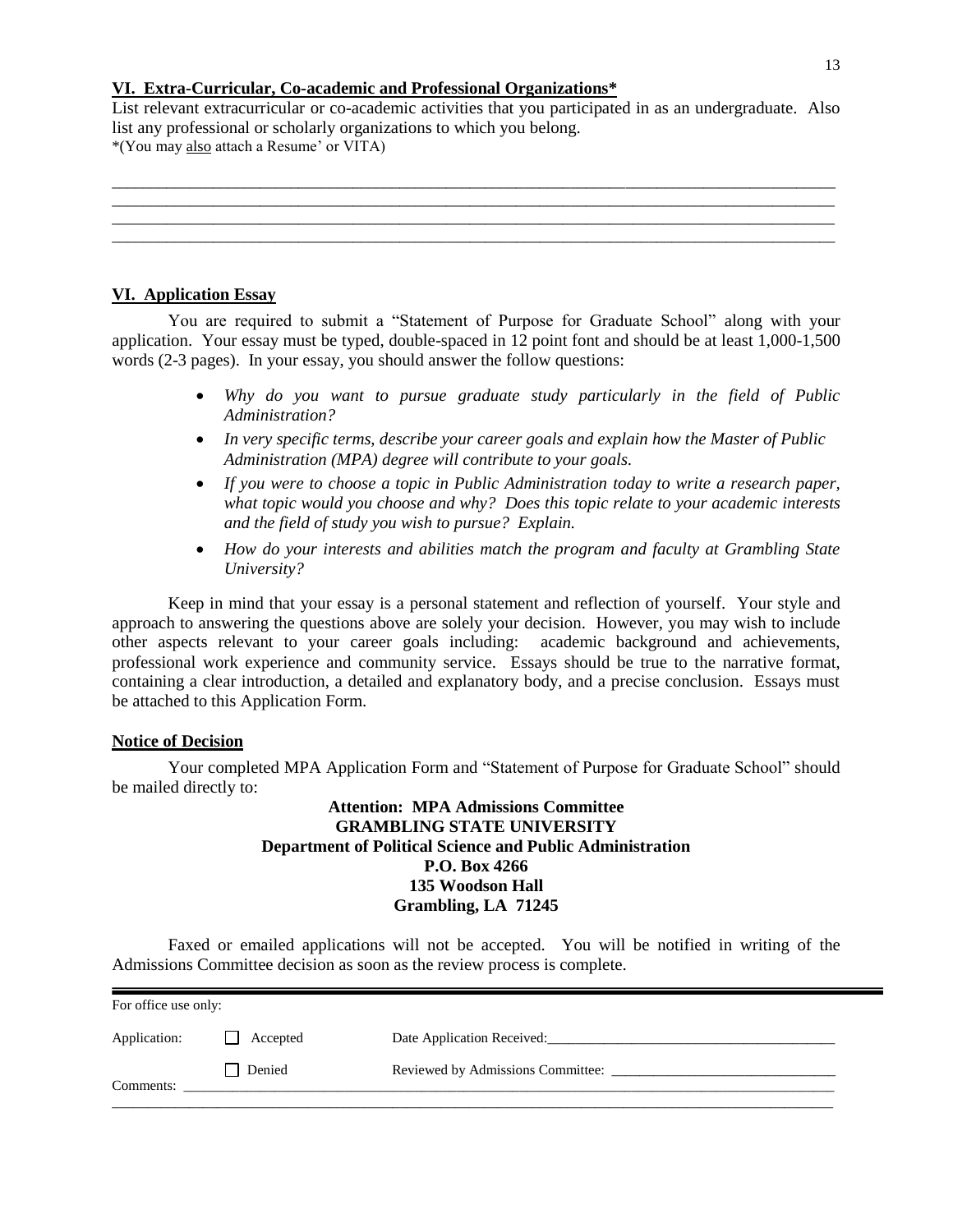## **VI. Extra-Curricular, Co-academic and Professional Organizations\***

List relevant extracurricular or co-academic activities that you participated in as an undergraduate. Also list any professional or scholarly organizations to which you belong. \*(You may also attach a Resume' or VITA)



## **VI. Application Essay**

You are required to submit a "Statement of Purpose for Graduate School" along with your application. Your essay must be typed, double-spaced in 12 point font and should be at least 1,000-1,500 words (2-3 pages). In your essay, you should answer the follow questions:

- *Why do you want to pursue graduate study particularly in the field of Public Administration?*
- *In very specific terms, describe your career goals and explain how the Master of Public Administration (MPA) degree will contribute to your goals.*
- *If you were to choose a topic in Public Administration today to write a research paper, what topic would you choose and why? Does this topic relate to your academic interests and the field of study you wish to pursue? Explain.*
- *How do your interests and abilities match the program and faculty at Grambling State University?*

Keep in mind that your essay is a personal statement and reflection of yourself. Your style and approach to answering the questions above are solely your decision. However, you may wish to include other aspects relevant to your career goals including: academic background and achievements, professional work experience and community service. Essays should be true to the narrative format, containing a clear introduction, a detailed and explanatory body, and a precise conclusion. Essays must be attached to this Application Form.

## **Notice of Decision**

Your completed MPA Application Form and "Statement of Purpose for Graduate School" should be mailed directly to:

## **Attention: MPA Admissions Committee GRAMBLING STATE UNIVERSITY Department of Political Science and Public Administration P.O. Box 4266 135 Woodson Hall Grambling, LA 71245**

Faxed or emailed applications will not be accepted. You will be notified in writing of the Admissions Committee decision as soon as the review process is complete.

| For office use only: |          |                                   |
|----------------------|----------|-----------------------------------|
| Application:         | Accepted | Date Application Received:        |
| Comments:            | Denied   | Reviewed by Admissions Committee: |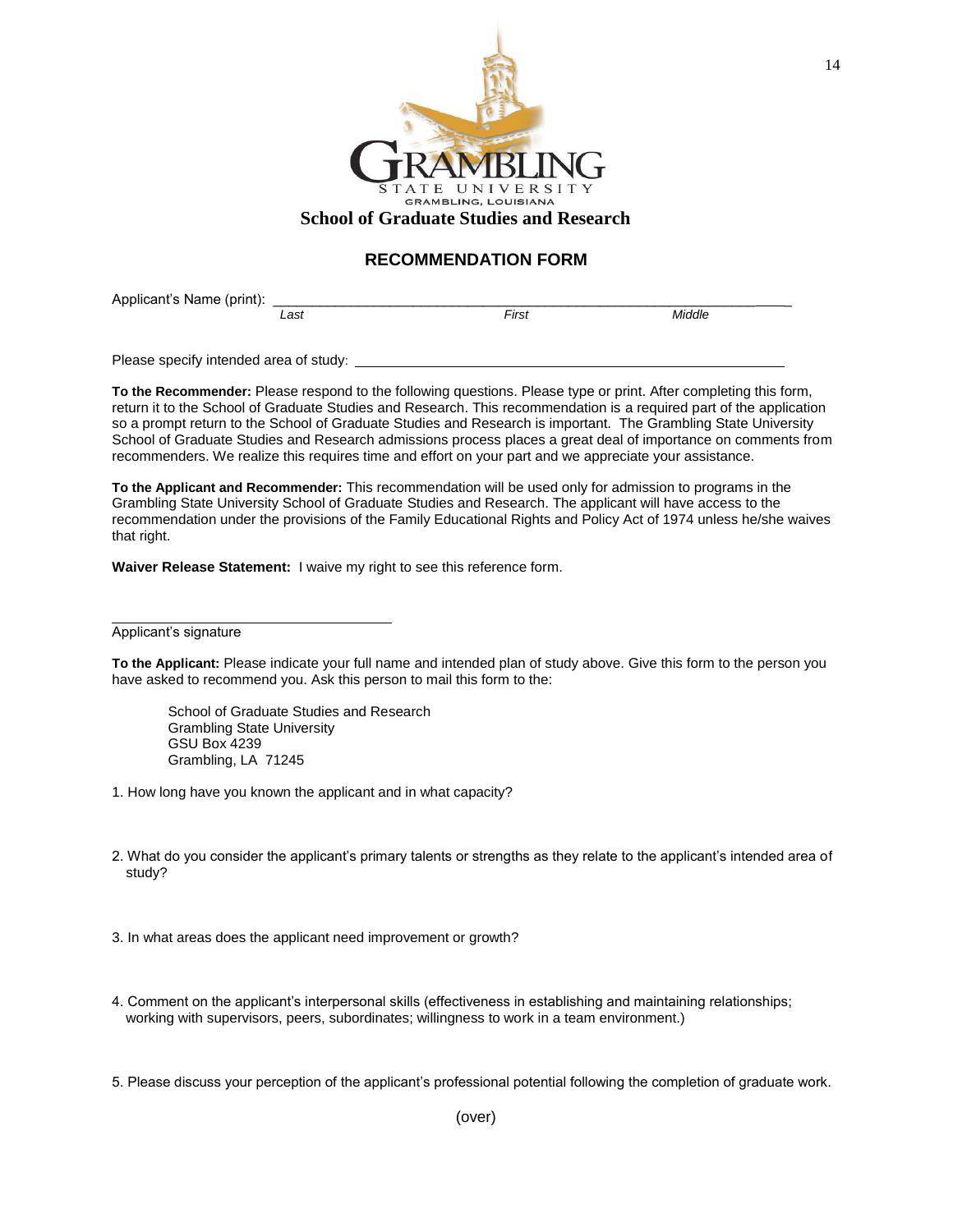

### **RECOMMENDATION FORM**

Applicant's Name (print):  $\frac{1}{1 \cdot 255}$ *Last First Middle*

Please specify intended area of study:

**To the Recommender:** Please respond to the following questions. Please type or print. After completing this form, return it to the School of Graduate Studies and Research. This recommendation is a required part of the application so a prompt return to the School of Graduate Studies and Research is important. The Grambling State University School of Graduate Studies and Research admissions process places a great deal of importance on comments from recommenders. We realize this requires time and effort on your part and we appreciate your assistance.

**To the Applicant and Recommender:** This recommendation will be used only for admission to programs in the Grambling State University School of Graduate Studies and Research. The applicant will have access to the recommendation under the provisions of the Family Educational Rights and Policy Act of 1974 unless he/she waives that right.

**Waiver Release Statement:** I waive my right to see this reference form.

Applicant's signature

**To the Applicant:** Please indicate your full name and intended plan of study above. Give this form to the person you have asked to recommend you. Ask this person to mail this form to the:

School of Graduate Studies and Research Grambling State University GSU Box 4239 Grambling, LA 71245

- 1. How long have you known the applicant and in what capacity?
- 2. What do you consider the applicant's primary talents or strengths as they relate to the applicant's intended area of study?
- 3. In what areas does the applicant need improvement or growth?
- 4. Comment on the applicant's interpersonal skills (effectiveness in establishing and maintaining relationships; working with supervisors, peers, subordinates; willingness to work in a team environment.)
- 5. Please discuss your perception of the applicant's professional potential following the completion of graduate work.

14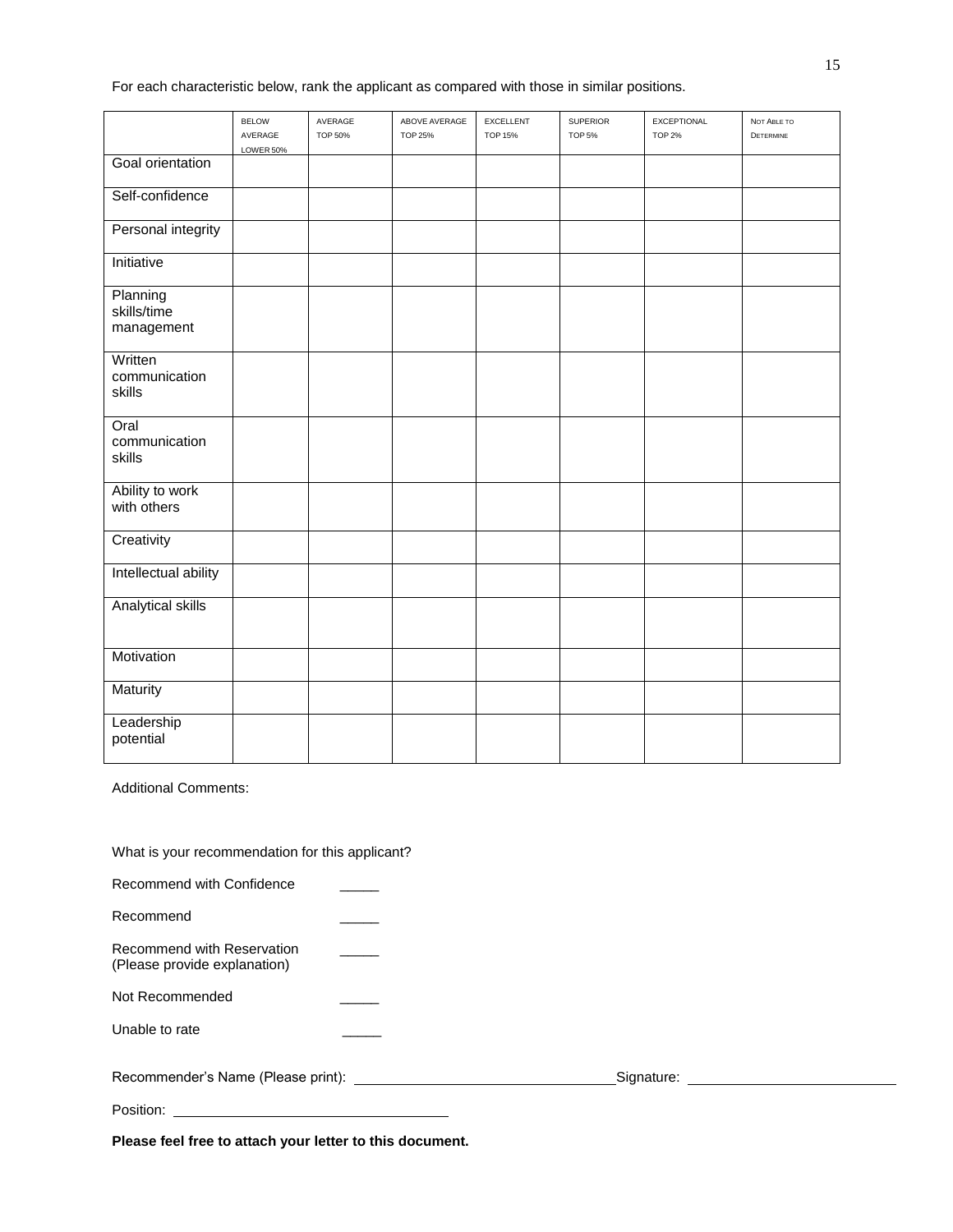For each characteristic below, rank the applicant as compared with those in similar positions.

|                                       | <b>BELOW</b><br>AVERAGE | AVERAGE<br><b>TOP 50%</b> | ABOVE AVERAGE<br><b>TOP 25%</b> | <b>EXCELLENT</b><br><b>TOP 15%</b> | <b>SUPERIOR</b><br><b>TOP 5%</b> | EXCEPTIONAL<br><b>TOP 2%</b> | NOT ABLE TO<br>DETERMINE |
|---------------------------------------|-------------------------|---------------------------|---------------------------------|------------------------------------|----------------------------------|------------------------------|--------------------------|
|                                       | LOWER 50%               |                           |                                 |                                    |                                  |                              |                          |
| Goal orientation                      |                         |                           |                                 |                                    |                                  |                              |                          |
| Self-confidence                       |                         |                           |                                 |                                    |                                  |                              |                          |
| Personal integrity                    |                         |                           |                                 |                                    |                                  |                              |                          |
| Initiative                            |                         |                           |                                 |                                    |                                  |                              |                          |
| Planning<br>skills/time<br>management |                         |                           |                                 |                                    |                                  |                              |                          |
| Written<br>communication<br>skills    |                         |                           |                                 |                                    |                                  |                              |                          |
| Oral<br>communication<br>skills       |                         |                           |                                 |                                    |                                  |                              |                          |
| Ability to work<br>with others        |                         |                           |                                 |                                    |                                  |                              |                          |
| Creativity                            |                         |                           |                                 |                                    |                                  |                              |                          |
| Intellectual ability                  |                         |                           |                                 |                                    |                                  |                              |                          |
| <b>Analytical skills</b>              |                         |                           |                                 |                                    |                                  |                              |                          |
| Motivation                            |                         |                           |                                 |                                    |                                  |                              |                          |
| Maturity                              |                         |                           |                                 |                                    |                                  |                              |                          |
| Leadership<br>potential               |                         |                           |                                 |                                    |                                  |                              |                          |

Additional Comments:

What is your recommendation for this applicant?

| Recommend with Confidence                                  |            |
|------------------------------------------------------------|------------|
| Recommend                                                  |            |
| Recommend with Reservation<br>(Please provide explanation) |            |
| Not Recommended                                            |            |
| Unable to rate                                             |            |
| Recommender's Name (Please print): _                       | Signature: |

Position:

**Please feel free to attach your letter to this document.**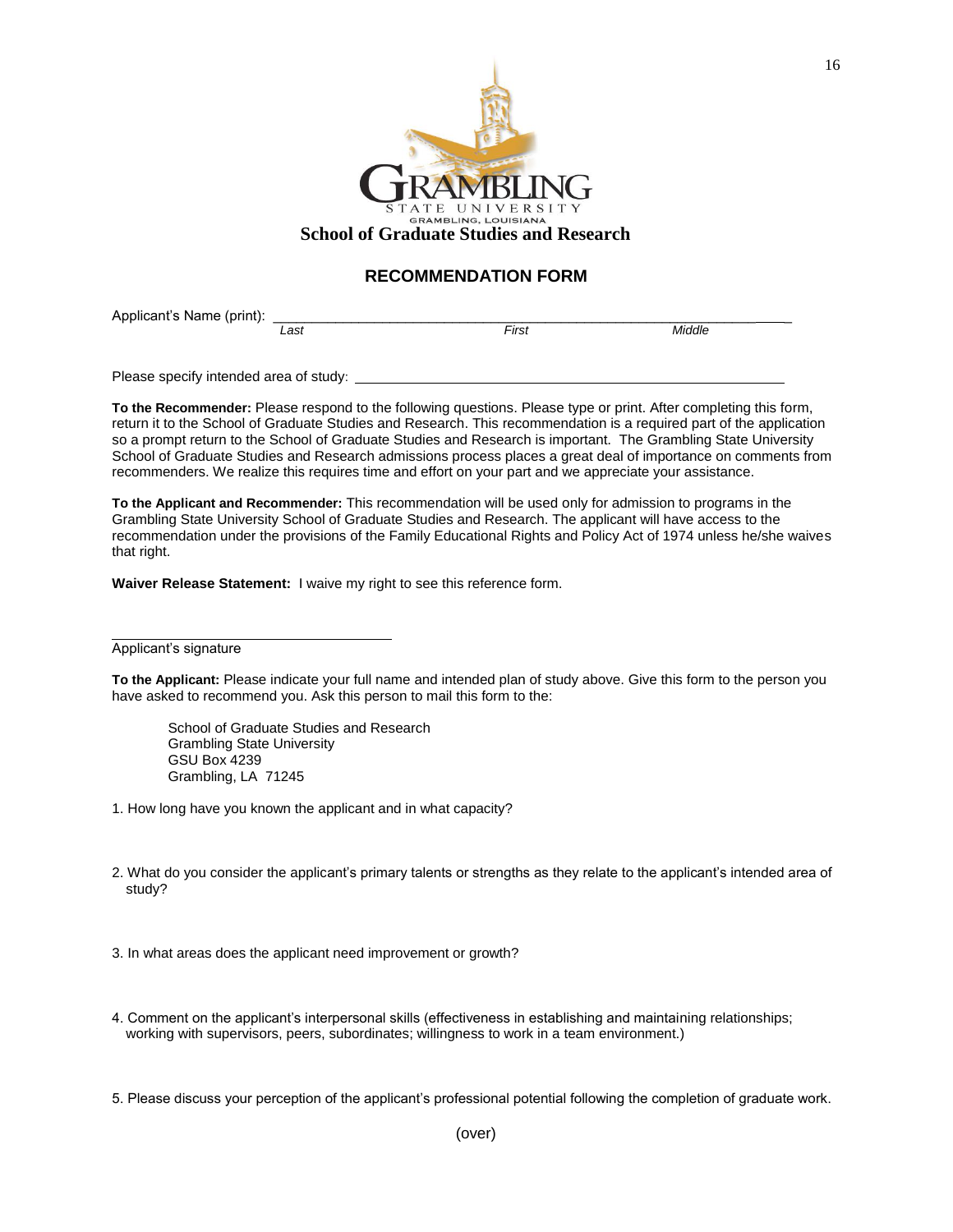

## **RECOMMENDATION FORM**

Applicant's Name (print):  $\frac{1}{\text{Last}}$  First First Middle

*Last First Middle*

Please specify intended area of study:

**To the Recommender:** Please respond to the following questions. Please type or print. After completing this form, return it to the School of Graduate Studies and Research. This recommendation is a required part of the application so a prompt return to the School of Graduate Studies and Research is important. The Grambling State University School of Graduate Studies and Research admissions process places a great deal of importance on comments from recommenders. We realize this requires time and effort on your part and we appreciate your assistance.

**To the Applicant and Recommender:** This recommendation will be used only for admission to programs in the Grambling State University School of Graduate Studies and Research. The applicant will have access to the recommendation under the provisions of the Family Educational Rights and Policy Act of 1974 unless he/she waives that right.

**Waiver Release Statement:** I waive my right to see this reference form.

Applicant's signature

**To the Applicant:** Please indicate your full name and intended plan of study above. Give this form to the person you have asked to recommend you. Ask this person to mail this form to the:

School of Graduate Studies and Research Grambling State University GSU Box 4239 Grambling, LA 71245

- 1. How long have you known the applicant and in what capacity?
- 2. What do you consider the applicant's primary talents or strengths as they relate to the applicant's intended area of study?

3. In what areas does the applicant need improvement or growth?

4. Comment on the applicant's interpersonal skills (effectiveness in establishing and maintaining relationships; working with supervisors, peers, subordinates; willingness to work in a team environment.)

5. Please discuss your perception of the applicant's professional potential following the completion of graduate work.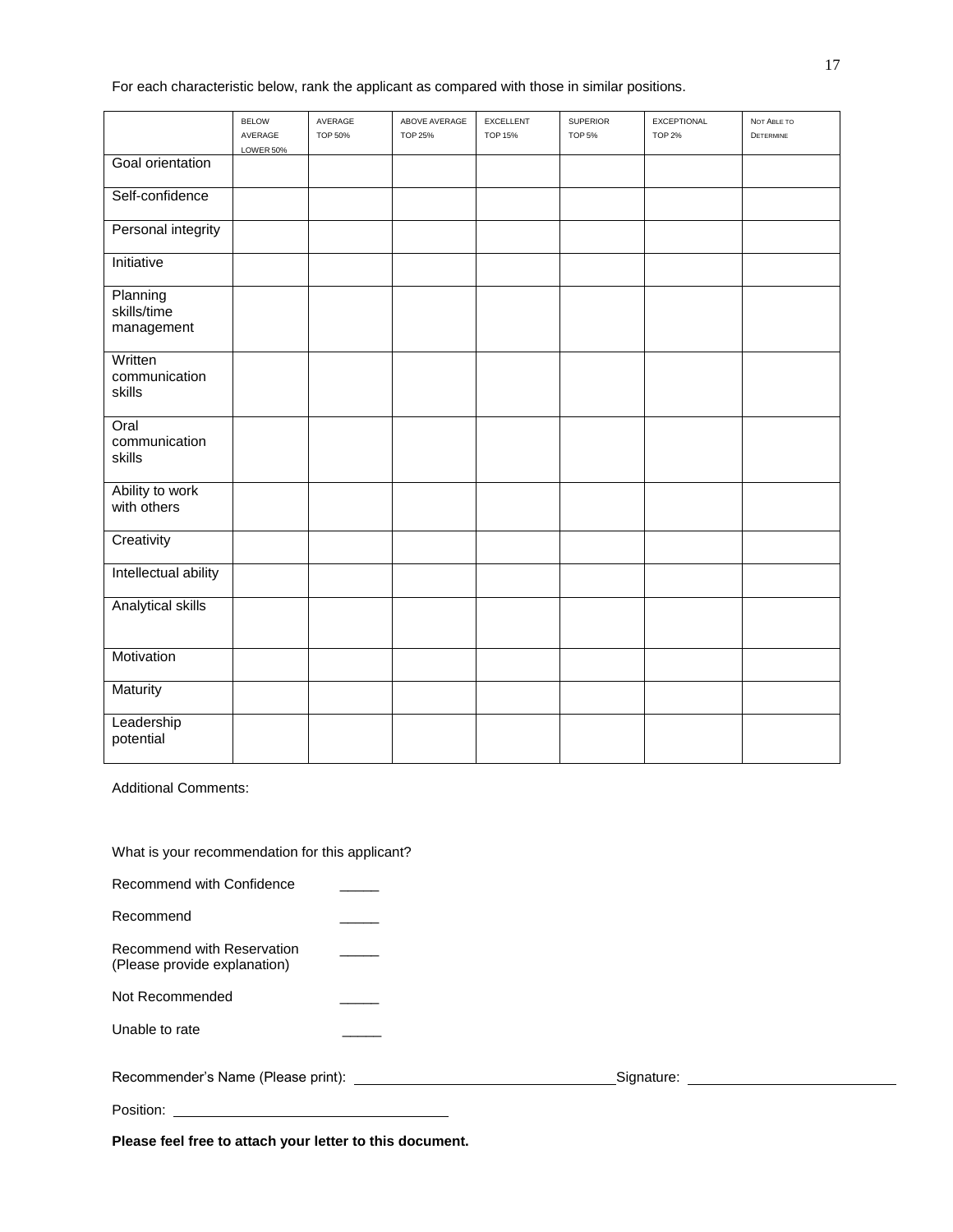For each characteristic below, rank the applicant as compared with those in similar positions.

|                                       | <b>BELOW</b><br>AVERAGE | AVERAGE<br><b>TOP 50%</b> | ABOVE AVERAGE<br><b>TOP 25%</b> | <b>EXCELLENT</b><br><b>TOP 15%</b> | <b>SUPERIOR</b><br><b>TOP 5%</b> | EXCEPTIONAL<br><b>TOP 2%</b> | NOT ABLE TO<br>DETERMINE |
|---------------------------------------|-------------------------|---------------------------|---------------------------------|------------------------------------|----------------------------------|------------------------------|--------------------------|
|                                       | LOWER 50%               |                           |                                 |                                    |                                  |                              |                          |
| Goal orientation                      |                         |                           |                                 |                                    |                                  |                              |                          |
| Self-confidence                       |                         |                           |                                 |                                    |                                  |                              |                          |
| Personal integrity                    |                         |                           |                                 |                                    |                                  |                              |                          |
| Initiative                            |                         |                           |                                 |                                    |                                  |                              |                          |
| Planning<br>skills/time<br>management |                         |                           |                                 |                                    |                                  |                              |                          |
| Written<br>communication<br>skills    |                         |                           |                                 |                                    |                                  |                              |                          |
| Oral<br>communication<br>skills       |                         |                           |                                 |                                    |                                  |                              |                          |
| Ability to work<br>with others        |                         |                           |                                 |                                    |                                  |                              |                          |
| Creativity                            |                         |                           |                                 |                                    |                                  |                              |                          |
| Intellectual ability                  |                         |                           |                                 |                                    |                                  |                              |                          |
| <b>Analytical skills</b>              |                         |                           |                                 |                                    |                                  |                              |                          |
| Motivation                            |                         |                           |                                 |                                    |                                  |                              |                          |
| Maturity                              |                         |                           |                                 |                                    |                                  |                              |                          |
| Leadership<br>potential               |                         |                           |                                 |                                    |                                  |                              |                          |

Additional Comments:

What is your recommendation for this applicant?

| Recommend with Confidence                                  |  |            |  |
|------------------------------------------------------------|--|------------|--|
| Recommend                                                  |  |            |  |
| Recommend with Reservation<br>(Please provide explanation) |  |            |  |
| Not Recommended                                            |  |            |  |
| Unable to rate                                             |  |            |  |
| Recommender's Name (Please print): _                       |  | Signature: |  |

Position:

**Please feel free to attach your letter to this document.**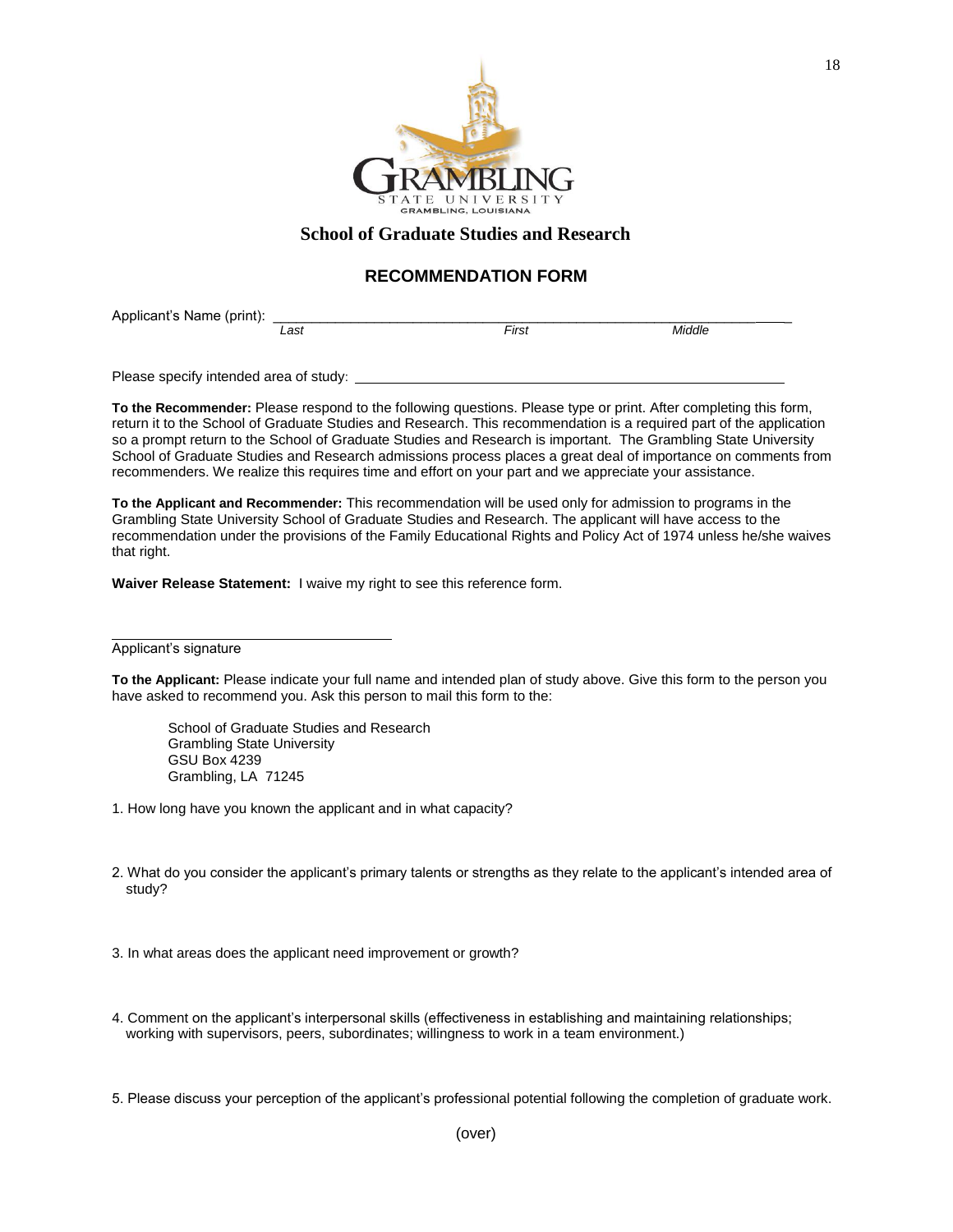

## **School of Graduate Studies and Research**

## **RECOMMENDATION FORM**

Applicant's Name (print):  $\frac{1}{\text{Last}}$ 

*Last First Middle*

Please specify intended area of study:

**To the Recommender:** Please respond to the following questions. Please type or print. After completing this form, return it to the School of Graduate Studies and Research. This recommendation is a required part of the application so a prompt return to the School of Graduate Studies and Research is important. The Grambling State University School of Graduate Studies and Research admissions process places a great deal of importance on comments from recommenders. We realize this requires time and effort on your part and we appreciate your assistance.

**To the Applicant and Recommender:** This recommendation will be used only for admission to programs in the Grambling State University School of Graduate Studies and Research. The applicant will have access to the recommendation under the provisions of the Family Educational Rights and Policy Act of 1974 unless he/she waives that right.

**Waiver Release Statement:** I waive my right to see this reference form.

Applicant's signature

**To the Applicant:** Please indicate your full name and intended plan of study above. Give this form to the person you have asked to recommend you. Ask this person to mail this form to the:

School of Graduate Studies and Research Grambling State University GSU Box 4239 Grambling, LA 71245

- 1. How long have you known the applicant and in what capacity?
- 2. What do you consider the applicant's primary talents or strengths as they relate to the applicant's intended area of study?

3. In what areas does the applicant need improvement or growth?

4. Comment on the applicant's interpersonal skills (effectiveness in establishing and maintaining relationships; working with supervisors, peers, subordinates; willingness to work in a team environment.)

5. Please discuss your perception of the applicant's professional potential following the completion of graduate work.

18